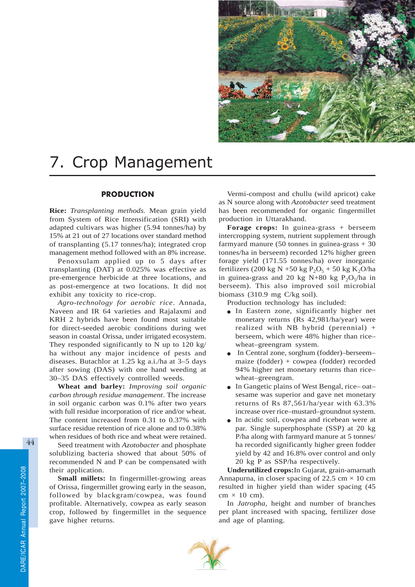

# 7. Crop Management

# **PRODUCTION**

**Rice:** *Transplanting methods.* Mean grain yield from System of Rice Intensification (SRI) with adapted cultivars was higher (5.94 tonnes/ha) by 15% at 21 out of 27 locations over standard method of transplanting (5.17 tonnes/ha); integrated crop management method followed with an 8% increase.

Penoxsulam applied up to 5 days after transplanting (DAT) at 0.025% was effective as pre-emergence herbicide at three locations, and as post-emergence at two locations. It did not exhibit any toxicity to rice-crop.

*Agro-technology for aerobic rice*. Annada, Naveen and IR 64 varieties and Rajalaxmi and KRH 2 hybrids have been found most suitable for direct-seeded aerobic conditions during wet season in coastal Orissa, under irrigated ecosystem. They responded significantly to N up to 120 kg/ ha without any major incidence of pests and diseases. Butachlor at 1.25 kg a.i./ha at 3–5 days after sowing (DAS) with one hand weeding at 30–35 DAS effectively controlled weeds.

**Wheat and barley:** *Improving soil organic carbon through residue management*. The increase in soil organic carbon was 0.1% after two years with full residue incorporation of rice and/or wheat. The content increased from 0.31 to 0.37% with surface residue retention of rice alone and to 0.38% when residues of both rice and wheat were retained.

Seed treatment with *Azotobacter* and phosphate solublizing bacteria showed that about 50% of recommended N and P can be compensated with their application.

**Small millets:** In fingermillet-growing areas of Orissa, fingermillet growing early in the season, followed by blackgram/cowpea, was found profitable. Alternatively, cowpea as early season crop, followed by fingermillet in the sequence gave higher returns.

Vermi-compost and chullu (wild apricot) cake as N source along with *Azotobacter* seed treatment has been recommended for organic fingermillet production in Uttarakhand.

**Forage crops:** In guinea-grass + berseem intercropping system, nutrient supplement through farmyard manure  $(50 \text{ tonnes in guinea-grass} + 30)$ tonnes/ha in berseem) recorded 12% higher green forage yield (171.55 tonnes/ha) over inorganic fertilizers (200 kg N +50 kg  $P_2O_5$  + 50 kg K<sub>2</sub>O/ha in guinea-grass and 20 kg N+80 kg  $P_2O_5/ha$  in berseem). This also improved soil microbial biomass (310.9 mg C/kg soil).

Production technology has included:

- In Eastern zone, significantly higher net monetary returns (Rs 42,981/ha/year) were realized with NB hybrid (perennial) + berseem, which were 48% higher than rice– wheat–greengram system.
- In Central zone, sorghum (fodder)–berseem– maize (fodder) + cowpea (fodder) recorded 94% higher net monetary returns than rice– wheat–greengram.
- In Gangetic plains of West Bengal, rice– oat– sesame was superior and gave net monetary returns of Rs 87,561/ha/year with 63.3% increase over rice–mustard–groundnut system.
- In acidic soil, cowpea and ricebean were at par. Single superphosphate (SSP) at 20 kg P/ha along with farmyard manure at 5 tonnes/ ha recorded significantly higher green fodder yield by 42 and 16.8% over control and only 20 kg P as SSP/ha respectively.

**Underutilized crops:**In Gujarat, grain-amarnath Annapurna, in closer spacing of 22.5 cm  $\times$  10 cm resulted in higher yield than wider spacing (45  $cm \times 10$  cm).

In *Jatropha,* height and number of branches per plant increased with spacing, fertilizer dose and age of planting.

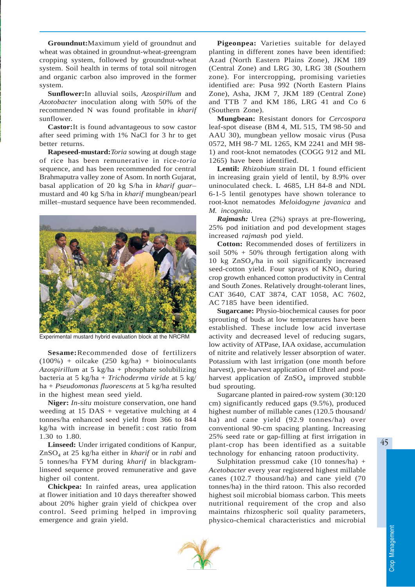**Groundnut:**Maximum yield of groundnut and wheat was obtained in groundnut-wheat-greengram cropping system, followed by groundnut-wheat system. Soil health in terms of total soil nitrogen and organic carbon also improved in the former system.

**Sunflower:**In alluvial soils, *Azospirillum* and *Azotobacter* inoculation along with 50% of the recommended N was found profitable in *kharif* sunflower.

**Castor:**It is found advantageous to sow castor after seed priming with 1% NaCl for 3 hr to get better returns.

**Rapeseed-mustard:***Toria* sowing at dough stage of rice has been remunerative in rice-*toria* sequence, and has been recommended for central Brahmaputra valley zone of Asom. In north Gujarat, basal application of 20 kg S/ha in *kharif guar*– mustard and 40 kg S/ha in *kharif* mungbean/pearl millet–mustard sequence have been recommended.



Experimental mustard hybrid evaluation block at the NRCRM

**Sesame:**Recommended dose of fertilizers  $(100%)$  + oilcake  $(250 \text{ kg/ha})$  + bioinoculants *Azospirillum* at 5 kg/ha + phosphate solubilizing bacteria at 5 kg/ha + *Trichoderma viride* at 5 kg/ ha + *Pseudomonas fluorescens* at 5 kg/ha resulted in the highest mean seed yield.

**Niger:** *In-situ* moisture conservation, one hand weeding at 15 DAS + vegetative mulching at 4 tonnes/ha enhanced seed yield from 366 to 844 kg/ha with increase in benefit : cost ratio from 1.30 to 1.80.

**Linseed:** Under irrigated conditions of Kanpur, ZnSO4 at 25 kg/ha either in *kharif* or in *rabi* and 5 tonnes/ha FYM during *kharif* in blackgramlinseed sequence proved remunerative and gave higher oil content.

**Chickpea:** In rainfed areas, urea application at flower initiation and 10 days thereafter showed about 20% higher grain yield of chickpea over control. Seed priming helped in improving emergence and grain yield.

**Pigeonpea:** Varieties suitable for delayed planting in different zones have been identified: Azad (North Eastern Plains Zone), JKM 189 (Central Zone) and LRG 30, LRG 38 (Southern zone). For intercropping, promising varieties identified are: Pusa 992 (North Eastern Plains Zone), Asha, JKM 7, JKM 189 (Central Zone) and TTB 7 and KM 186, LRG 41 and Co 6 (Southern Zone).

**Mungbean:** Resistant donors for *Cercospora* leaf-spot disease (BM 4, ML 515, TM 98-50 and AAU 30), mungbean yellow mosaic virus (Pusa 0572, MH 98-7 ML 1265, KM 2241 and MH 98- 1) and root-knot nematodes (COGG 912 and ML 1265) have been identified.

**Lentil:** *Rhizobium* strain DL 1 found efficient in increasing grain yield of lentil, by 8.9% over uninoculated check. L 4685, LH 84-8 and NDL 6-1-5 lentil genotypes have shown tolerance to root-knot nematodes *Meloidogyne javanica* and *M. incognita*.

*Rajmash:* Urea (2%) sprays at pre-flowering, 25% pod initiation and pod development stages increased *rajmash* pod yield.

**Cotton:** Recommended doses of fertilizers in soil 50% + 50% through fertigation along with 10 kg  $ZnSO<sub>4</sub>/ha$  in soil significantly increased seed-cotton yield. Four sprays of  $KNO<sub>3</sub>$  during crop growth enhanced cotton productivity in Central and South Zones. Relatively drought-tolerant lines, CAT 3640, CAT 3874, CAT 1058, AC 7602, AC 7185 have been identified.

**Sugarcane:** Physio-biochemical causes for poor sprouting of buds at low temperatures have been established. These include low acid invertase activity and decreased level of reducing sugars, low activity of ATPase, IAA oxidase, accumulation of nitrite and relatively lesser absorption of water. Potassium with last irrigation (one month before harvest), pre-harvest application of Ethrel and postharvest application of  $ZnSO<sub>4</sub>$  improved stubble bud sprouting.

Sugarcane planted in paired-row system (30:120 cm) significantly reduced gaps (9.5%), produced highest number of millable canes (120.5 thousand/ ha) and cane yield (92.9 tonnes/ha) over conventional 90-cm spacing planting. Increasing 25% seed rate or gap-filling at first irrigation in plant-crop has been identified as a suitable technology for enhancing ratoon productivity.

Sulphitation pressmud cake (10 tonnes/ha) + *Acetobacter* every year registered highest millable canes (102.7 thousand/ha) and cane yield (70 tonnes/ha) in the third ratoon. This also recorded highest soil microbial biomass carbon. This meets nutritional requirement of the crop and also maintains rhizospheric soil quality parameters, physico-chemical characteristics and microbial

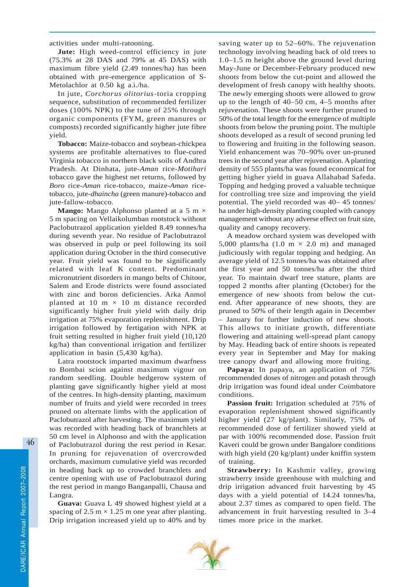activities under multi-ratooning.

**Jute:** High weed-control efficiency in jute (75.3% at 28 DAS and 79% at 45 DAS) with maximum fibre yield (2.49 tonnes/ha) has been obtained with pre-emergence application of S-Metolachlor at 0.50 kg a.i./ha.

In jute, *Corchorus olitorius*-toria cropping sequence, substitution of recommended fertilizer doses (100% NPK) to the tune of 25% through organic components (FYM, green manures or composts) recorded significantly higher jute fibre yield.

**Tobacco:** Maize-tobacco and soybean-chickpea systems are profitable alternatives to flue-cured Virginia tobacco in northern black soils of Andhra Pradesh. At Dinhata, jute-*Aman* rice-*Motihari* tobacco gave the highest net returns, followed by *Boro* rice-*Aman* rice-tobacco, maize-*Aman* ricetobacco, jute-*dhaincha* (green manure)-tobacco and jute-fallow-tobacco.

**Mango:** Mango Alphonso planted at a 5 m  $\times$ 5 m spacing on Vellaikolumban rootstock without Paclobutrazol application yielded 8.49 tonnes/ha during seventh year. No residue of Paclobutrazol was observed in pulp or peel following its soil application during October in the third consecutive year. Fruit yield was found to be significantly related with leaf K content. Predominant micronutrient disorders in mango belts of Chitoor, Salem and Erode districts were found associated with zinc and boron deficiencies. Arka Anmol planted at 10 m  $\times$  10 m distance recorded significantly higher fruit yield with daily drip irrigation at 75% evaporation replenishment. Drip irrigation followed by fertigation with NPK at fruit setting resulted in higher fruit yield (10,120 kg/ha) than conventional irrigation and fertilizer application in basin (5,430 kg/ha).

Latra rootstock imparted maximum dwarfness to Bombai scion against maximum vigour on random seedling. Double hedgerow system of planting gave significantly higher yield at most of the centres. In high-density planting, maximum number of fruits and yield were recorded in trees pruned on alternate limbs with the application of Paclobutrazol after harvesting. The maximum yield was recorded with heading back of branchlets at 50 cm level in Alphonso and with the application of Paclobutrazol during the rest period in Kesar. In pruning for rejuvenation of overcrowded orchards, maximum cumulative yield was recorded in heading back up to crowded branchlets and centre opening with use of Paclobutrazol during the rest period in mango Banganpalli, Chausa and Langra.

**Guava:** Guava L 49 showed highest yield at a spacing of 2.5 m  $\times$  1.25 m one year after planting. Drip irrigation increased yield up to 40% and by saving water up to 52–60%. The rejuvenation technology involving heading back of old trees to 1.0–1.5 m height above the ground level during May-June or December-February produced new shoots from below the cut-point and allowed the development of fresh canopy with healthy shoots. The newly emerging shoots were allowed to grow up to the length of 40–50 cm, 4–5 months after rejuvenation. These shoots were further pruned to 50% of the total length for the emergence of multiple shoots from below the pruning point. The multiple shoots developed as a result of second pruning led to flowering and fruiting in the following season. Yield enhancement was 70–90% over un-pruned trees in the second year after rejuvenation. A planting density of 555 plants/ha was found economical for getting higher yield in guava Allahabad Safeda. Topping and hedging proved a valuable technique for controlling tree size and improving the yield potential. The yield recorded was 40– 45 tonnes/ ha under high-density planting coupled with canopy management without any adverse effect on fruit size, quality and canopy recovery.

A meadow orchard system was developed with 5,000 plants/ha  $(1.0 \text{ m} \times 2.0 \text{ m})$  and managed judiciously with regular topping and hedging. An average yield of 12.5 tonnes/ha was obtained after the first year and 50 tonnes/ha after the third year. To maintain dwarf tree stature, plants are topped 2 months after planting (October) for the emergence of new shoots from below the cutend. After appearance of new shoots, they are pruned to 50% of their length again in December January for further induction of new shoots. This allows to initiate growth, differentiate flowering and attaining well-spread plant canopy by May. Heading back of entire shoots is repeated every year in September and May for making tree canopy dwarf and allowing more fruiting.

**Papaya:** In papaya, an application of 75% recommended doses of nitrogen and potash through drip irrigation was found ideal under Coimbatore conditions.

**Passion fruit:** Irrigation scheduled at 75% of evaporation replenishment showed significantly higher yield (27 kg/plant). Similarly, 75% of recommended dose of fertilizer showed yield at par with 100% recommended dose. Passion fruit Kaveri could be grown under Bangalore conditions with high yield (20 kg/plant) under kniffin system of training.

**Strawberry:** In Kashmir valley, growing strawberry inside greenhouse with mulching and drip irrigation advanced fruit harvesting by 45 days with a yield potential of 14.24 tonnes/ha, about 2.37 times as compared to open field. The advancement in fruit harvesting resulted in 3–4 times more price in the market.

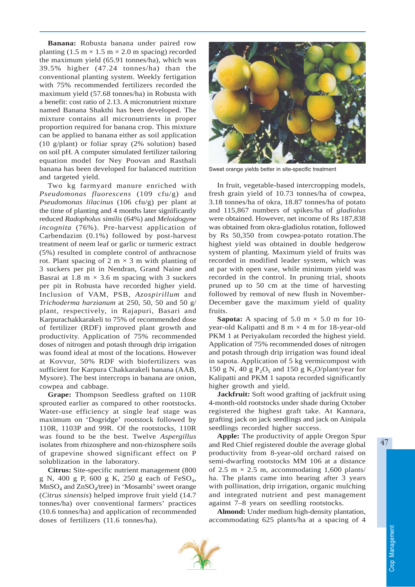**Banana:** Robusta banana under paired row planting  $(1.5 \text{ m} \times 1.5 \text{ m} \times 2.0 \text{ m} \text{ spacing})$  recorded the maximum yield (65.91 tonnes/ha), which was 39.5% higher (47.24 tonnes/ha) than the conventional planting system. Weekly fertigation with 75% recommended fertilizers recorded the maximum yield (57.68 tonnes/ha) in Robusta with a benefit: cost ratio of 2.13. A micronutrient mixture named Banana Shakthi has been developed. The mixture contains all micronutrients in proper proportion required for banana crop. This mixture can be applied to banana either as soil application (10 g/plant) or foliar spray (2% solution) based on soil pH. A computer simulated fertilizer tailoring equation model for Ney Poovan and Rasthali banana has been developed for balanced nutrition and targeted yield.

Two kg farmyard manure enriched with *Pseudomonas fluorescens* (109 cfu/g) and *Pseudomonas lilacinus* (106 cfu/g) per plant at the time of planting and 4 months later significantly reduced *Radopholus similis* (64%) and *Meloidogyne incognita* (76%). Pre-harvest application of Carbendazim (0.1%) followed by post-harvest treatment of neem leaf or garlic or turmeric extract (5%) resulted in complete control of anthracnose rot. Plant spacing of 2 m  $\times$  3 m with planting of 3 suckers per pit in Nendran, Grand Naine and Basrai at 1.8 m  $\times$  3.6 m spacing with 3 suckers per pit in Robusta have recorded higher yield. Inclusion of VAM, PSB, *Azospirillum* and *Trichoderma harzianum* at 250, 50, 50 and 50 g/ plant, respectively, in Rajapuri, Basari and Karpurachakkarakeli to 75% of recommended dose of fertilizer (RDF) improved plant growth and productivity. Application of 75% recommended doses of nitrogen and potash through drip irrigation was found ideal at most of the locations. However at Kovvur, 50% RDF with biofertilizers was sufficient for Karpura Chakkarakeli banana (AAB, Mysore). The best intercrops in banana are onion, cowpea and cabbage.

**Grape:** Thompson Seedless grafted on 110R sprouted earlier as compared to other rootstocks. Water-use efficiency at single leaf stage was maximum on 'Dogridge' rootstock followed by 110R, 1103P and 99R. Of the rootstocks, 110R was found to be the best. Twelve *Aspergillus* isolates from rhizosphere and non-rhizosphere soils of grapevine showed significant effect on P solublization in the laboratory.

**Citrus:** Site-specific nutrient management (800 g N, 400 g P, 600 g K, 250 g each of FeSO4,  $MnSO<sub>4</sub>$  and  $ZnSO<sub>4</sub>/tree$ ) in 'Mosambi' sweet orange (*Citrus sinensis*) helped improve fruit yield (14.7 tonnes/ha) over conventional farmers' practices (10.6 tonnes/ha) and application of recommended doses of fertilizers (11.6 tonnes/ha).



Sweet orange yields better in site-specific treatment

In fruit, vegetable-based intercropping models, fresh grain yield of 10.73 tonnes/ha of cowpea, 3.18 tonnes/ha of okra, 18.87 tonnes/ha of potato and 115,867 numbers of spikes/ha of *gladiolus* were obtained. However, net income of Rs 187,838 was obtained from okra-gladiolus rotation, followed by Rs 50,350 from cowpea-potato rotation.The highest yield was obtained in double hedgerow system of planting. Maximum yield of fruits was recorded in modified leader system, which was at par with open vase, while minimum yield was recorded in the control. In pruning trial, shoots pruned up to 50 cm at the time of harvesting followed by removal of new flush in November-December gave the maximum yield of quality fruits.

**Sapota:** A spacing of 5.0 m  $\times$  5.0 m for 10year-old Kalipatti and  $8 \text{ m} \times 4 \text{ m}$  for 18-year-old PKM 1 at Periyakulam recorded the highest yield. Application of 75% recommended doses of nitrogen and potash through drip irrigation was found ideal in sapota. Application of 5 kg vermicompost with 150 g N, 40 g  $P_2O_5$  and 150 g K<sub>2</sub>O/plant/year for Kalipatti and PKM 1 sapota recorded significantly higher growth and yield.

**Jackfruit:** Soft wood grafting of jackfruit using 4-month-old rootstocks under shade during October registered the highest graft take. At Kannara, grafting jack on jack seedlings and jack on Ainipala seedlings recorded higher success.

**Apple:** The productivity of apple Oregon Spur and Red Chief registered double the average global productivity from 8-year-old orchard raised on semi-dwarfing rootstocks MM 106 at a distance of 2.5 m  $\times$  2.5 m, accommodating 1,600 plants/ ha. The plants came into bearing after 3 years with pollination, drip irrigation, organic mulching and integrated nutrient and pest management against 7–8 years on seedling rootstocks.

**Almond:** Under medium high-density plantation, accommodating 625 plants/ha at a spacing of 4

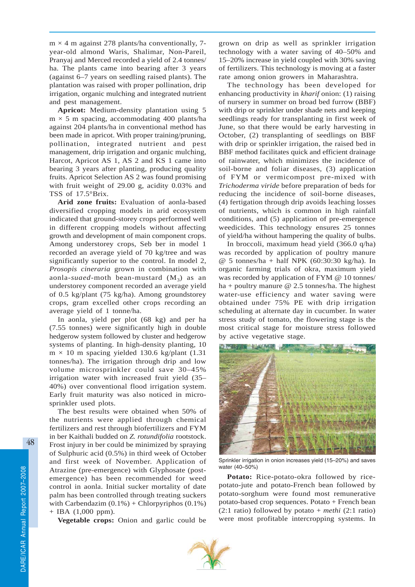$m \times 4$  m against 278 plants/ha conventionally, 7year-old almond Waris, Shalimar, Non-Pareil, Pranyaj and Merced recorded a yield of 2.4 tonnes/ ha. The plants came into bearing after 3 years (against 6–7 years on seedling raised plants). The plantation was raised with proper pollination, drip irrigation, organic mulching and integrated nutrient and pest management.

**Apricot:** Medium-density plantation using 5  $m \times 5$  m spacing, accommodating 400 plants/ha against 204 plants/ha in conventional method has been made in apricot. With proper training/pruning, pollination, integrated nutrient and pest management, drip irrigation and organic mulching, Harcot, Apricot AS 1, AS 2 and KS 1 came into bearing 3 years after planting, producing quality fruits. Apricot Selection AS 2 was found promising with fruit weight of 29.00 g, acidity 0.03% and TSS of 17.5°Brix.

**Arid zone fruits:** Evaluation of aonla-based diversified cropping models in arid ecosystem indicated that ground-storey crops performed well in different cropping models without affecting growth and development of main component crops. Among understorey crops, Seb ber in model 1 recorded an average yield of 70 kg/tree and was significantly superior to the control. In model 2, *Prosopis cineraria* grown in combination with aonla-*suaed*-moth bean-mustard  $(M_3)$  as an understorey component recorded an average yield of 0.5 kg/plant (75 kg/ha). Among groundstorey crops, gram excelled other crops recording an average yield of 1 tonne/ha.

In aonla, yield per plot (68 kg) and per ha (7.55 tonnes) were significantly high in double hedgerow system followed by cluster and hedgerow systems of planting. In high-density planting, 10  $m \times 10$  m spacing yielded 130.6 kg/plant (1.31) tonnes/ha). The irrigation through drip and low volume microsprinkler could save 30–45% irrigation water with increased fruit yield (35– 40%) over conventional flood irrigation system. Early fruit maturity was also noticed in microsprinkler used plots.

The best results were obtained when 50% of the nutrients were applied through chemical fertilizers and rest through biofertilizers and FYM in ber Kaithali budded on *Z. rotundifolia* rootstock. Frost injury in ber could be minimized by spraying of Sulphuric acid (0.5%) in third week of October and first week of November. Application of Atrazine (pre-emergence) with Glyphosate (postemergence) has been recommended for weed control in aonla. Initial sucker mortality of date palm has been controlled through treating suckers with Carbendazim  $(0.1\%)$  + Chlorpyriphos  $(0.1\%)$ + IBA (1,000 ppm).

**Vegetable crops:** Onion and garlic could be

grown on drip as well as sprinkler irrigation technology with a water saving of 40–50% and 15–20% increase in yield coupled with 30% saving of fertilizers. This technology is moving at a faster rate among onion growers in Maharashtra.

The technology has been developed for enhancing productivity in *kharif* onion: (1) raising of nursery in summer on broad bed furrow (BBF) with drip or sprinkler under shade nets and keeping seedlings ready for transplanting in first week of June, so that there would be early harvesting in October, (2) transplanting of seedlings on BBF with drip or sprinkler irrigation, the raised bed in BBF method facilitates quick and efficient drainage of rainwater, which minimizes the incidence of soil-borne and foliar diseases, (3) application of FYM or vermicompost pre-mixed with *Trichoderma viride* before preparation of beds for reducing the incidence of soil-borne diseases, (4) fertigation through drip avoids leaching losses of nutrients, which is common in high rainfall conditions, and (5) application of pre-emergence weedicides. This technology ensures 25 tonnes of yield/ha without hampering the quality of bulbs.

In broccoli, maximum head yield (366.0 q/ha) was recorded by application of poultry manure @ 5 tonnes/ha + half NPK (60:30:30 kg/ha). In organic farming trials of okra, maximum yield was recorded by application of FYM @ 10 tonnes/ ha + poultry manure  $\omega$  2.5 tonnes/ha. The highest water-use efficiency and water saving were obtained under 75% PE with drip irrigation scheduling at alternate day in cucumber. In water stress study of tomato, the flowering stage is the most critical stage for moisture stress followed by active vegetative stage.



Sprinkler irrigation in onion increases yield (15–20%) and saves water (40–50%)

**Potato:** Rice-potato-okra followed by ricepotato-jute and potato-French bean followed by potato-sorghum were found most remunerative potato-based crop sequences. Potato + French bean (2:1 ratio) followed by potato + *methi* (2:1 ratio) were most profitable intercropping systems. In

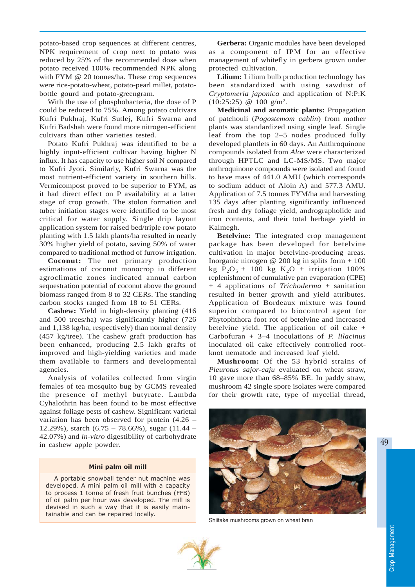potato-based crop sequences at different centres, NPK requirement of crop next to potato was reduced by 25% of the recommended dose when potato received 100% recommended NPK along with FYM @ 20 tonnes/ha. These crop sequences were rice-potato-wheat, potato-pearl millet, potatobottle gourd and potato-greengram.

With the use of phosphobacteria, the dose of P could be reduced to 75%. Among potato cultivars Kufri Pukhraj, Kufri Sutlej, Kufri Swarna and Kufri Badshah were found more nitrogen-efficient cultivars than other varieties tested.

Potato Kufri Pukhraj was identified to be a highly input-efficient cultivar having higher N influx. It has capacity to use higher soil N compared to Kufri Jyoti. Similarly, Kufri Swarna was the most nutrient-efficient variety in southern hills. Vermicompost proved to be superior to FYM, as it had direct effect on P availability at a latter stage of crop growth. The stolon formation and tuber initiation stages were identified to be most critical for water supply. Single drip layout application system for raised bed/triple row potato planting with 1.5 lakh plants/ha resulted in nearly 30% higher yield of potato, saving 50% of water compared to traditional method of furrow irrigation.

**Coconut:** The net primary production estimations of coconut monocrop in different agroclimatic zones indicated annual carbon sequestration potential of coconut above the ground biomass ranged from 8 to 32 CERs. The standing carbon stocks ranged from 18 to 51 CERs.

**Cashew:** Yield in high-density planting (416 and 500 trees/ha) was significantly higher (726 and 1,138 kg/ha, respectively) than normal density (457 kg/tree). The cashew graft production has been enhanced, producing 2.5 lakh grafts of improved and high-yielding varieties and made them available to farmers and developmental agencies.

Analysis of volatiles collected from virgin females of tea mosquito bug by GCMS revealed the presence of methyl butyrate. Lambda Cyhalothrin has been found to be most effective against foliage pests of cashew. Significant varietal variation has been observed for protein (4.26 – 12.29%), starch  $(6.75 - 78.66\%)$ , sugar  $(11.44 -$ 42.07%) and *in-vitro* digestibility of carbohydrate in cashew apple powder.

#### Mini palm oil mill

A portable snowball tender nut machine was developed. A mini palm oil mill with a capacity to process 1 tonne of fresh fruit bunches (FFB) of oil palm per hour was developed. The mill is devised in such a way that it is easily maintainable and can be repaired locally.

**Gerbera:** Organic modules have been developed as a component of IPM for an effective management of whitefly in gerbera grown under protected cultivation.

**Lilium:** Lilium bulb production technology has been standardized with using sawdust of *Cryptomeria japonica* and application of N:P:K (10:25:25) @ 100 g/m2.

**Medicinal and aromatic plants:** Propagation of patchouli (*Pogostemom cablin*) from mother plants was standardized using single leaf. Single leaf from the top 2–5 nodes produced fully developed plantlets in 60 days. An Anthroquinone compounds isolated from *Aloe* were characterized through HPTLC and LC-MS/MS. Two major anthroquinone compounds were isolated and found to have mass of 441.0 AMU (which corresponds to sodium adduct of Aloin A) and 577.3 AMU. Application of 7.5 tonnes FYM/ha and harvesting 135 days after planting significantly influenced fresh and dry foliage yield, andrographolide and iron contents, and their total herbage yield in Kalmegh.

**Betelvine:** The integrated crop management package has been developed for betelvine cultivation in major betelvine-producing areas. Inorganic nitrogen  $@$  200 kg in splits form  $+100$ kg  $P_2O_5 + 100$  kg  $K_2O + irrigation 100\%$ replenishment of cumulative pan evaporation (CPE) + 4 applications of *Trichoderma* + sanitation resulted in better growth and yield attributes. Application of Bordeaux mixture was found superior compared to biocontrol agent for Phytophthora foot rot of betelvine and increased betelvine yield. The application of oil cake + Carbofuran + 3–4 inoculations of *P. lilacinus* inoculated oil cake effectively controlled rootknot nematode and increased leaf yield.

**Mushroom:** Of the 53 hybrid strains of *Pleurotus sajor-caju* evaluated on wheat straw, 10 gave more than 68–85% BE. In paddy straw, mushroom 42 single spore isolates were compared for their growth rate, type of mycelial thread,



Shiitake mushrooms grown on wheat bran

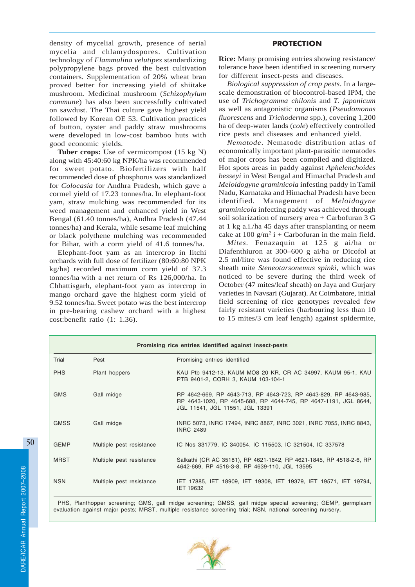density of mycelial growth, presence of aerial mycelia and chlamydospores. Cultivation technology of *Flammulina velutipes* standardizing polypropylene bags proved the best cultivation containers. Supplementation of 20% wheat bran proved better for increasing yield of shiitake mushroom. Medicinal mushroom (*Schizophylum commune*) has also been successfully cultivated on sawdust. The Thai culture gave highest yield followed by Korean OE 53. Cultivation practices of button, oyster and paddy straw mushrooms were developed in low-cost bamboo huts with good economic yields.

**Tuber crops:** Use of vermicompost (15 kg N) along with 45:40:60 kg NPK/ha was recommended for sweet potato. Biofertilizers with half recommended dose of phosphorus was standardized for *Colocasia* for Andhra Pradesh, which gave a cormel yield of 17.23 tonnes/ha. In elephant-foot yam, straw mulching was recommended for its weed management and enhanced yield in West Bengal (61.40 tonnes/ha), Andhra Pradesh (47.44 tonnes/ha) and Kerala, while sesame leaf mulching or black polythene mulching was recommended for Bihar, with a corm yield of 41.6 tonnes/ha.

Elephant-foot yam as an intercrop in litchi orchards with full dose of fertilizer (80:60:80 NPK kg/ha) recorded maximum corm yield of 37.3 tonnes/ha with a net return of Rs 126,000/ha. In Chhattisgarh, elephant-foot yam as intercrop in mango orchard gave the highest corm yield of 9.52 tonnes/ha. Sweet potato was the best intercrop in pre-bearing cashew orchard with a highest cost:benefit ratio (1: 1.36).

# PROTECTION

**Rice:** Many promising entries showing resistance/ tolerance have been identified in screening nursery for different insect-pests and diseases.

*Biological suppression of crop pests*. In a largescale demonstration of biocontrol-based IPM, the use of *Trichogramma chilonis* and *T. japonicum* as well as antagonistic organisms (*Pseudomonas fluorescens* and *Trichoderma* spp.), covering 1,200 ha of deep-water lands (*cole*) effectively controlled rice pests and diseases and enhanced yield.

*Nematode*. Nematode distribution atlas of economically important plant-parasitic nematodes of major crops has been compiled and digitized. Hot spots areas in paddy against *Aphelenchoides besseyi* in West Bengal and Himachal Pradesh and *Meloidogyne graminicola* infesting paddy in Tamil Nadu, Karnataka and Himachal Pradesh have been identified. Management of *Meloidogyne graminicola* infecting paddy was achieved through soil solarization of nursery area + Carbofuran 3 G at 1 kg a.i./ha 45 days after transplanting or neem cake at 100  $g/m^2$  i + Carbofuran in the main field.

*Mites.* Fenazaquin at 125 g ai/ha or Diafenthiuron at 300–600 g ai/ha or Dicofol at 2.5 ml/litre was found effective in reducing rice sheath mite *Steneotarsonemus spinki,* which was noticed to be severe during the third week of October (47 mites/leaf sheath) on Jaya and Gurjary varieties in Navsari (Gujarat). At Coimbatore, initial field screening of rice genotypes revealed few fairly resistant varieties (harbouring less than 10 to 15 mites/3 cm leaf length) against spidermite,

| Promising rice entries identified against insect-pests |                          |                                                                                                                                                                        |  |  |
|--------------------------------------------------------|--------------------------|------------------------------------------------------------------------------------------------------------------------------------------------------------------------|--|--|
| Trial                                                  | Pest                     | Promising entries identified                                                                                                                                           |  |  |
| <b>PHS</b>                                             | Plant hoppers            | KAU Ptb 9412-13, KAUM MO8 20 KR, CR AC 34997, KAUM 95-1, KAU<br>PTB 9401-2, CORH 3, KAUM 103-104-1                                                                     |  |  |
| <b>GMS</b>                                             | Gall midge               | RP 4642-669, RP 4643-713, RP 4643-723, RP 4643-829, RP 4643-985,<br>RP 4643-1020, RP 4645-688, RP 4644-745, RP 4647-1191, JGL 8644,<br>JGL 11541, JGL 11551, JGL 13391 |  |  |
| <b>GMSS</b>                                            | Gall midge               | INRC 5073, INRC 17494, INRC 8867, INRC 3021, INRC 7055, INRC 8843,<br><b>INRC 2489</b>                                                                                 |  |  |
| <b>GEMP</b>                                            | Multiple pest resistance | IC Nos 331779, IC 340054, IC 115503, IC 321504, IC 337578                                                                                                              |  |  |
| <b>MRST</b>                                            | Multiple pest resistance | Salkathi (CR AC 35181), RP 4621-1842, RP 4621-1845, RP 4518-2-6, RP<br>4642-669, RP 4516-3-8, RP 4639-110, JGL 13595                                                   |  |  |
| <b>NSN</b>                                             | Multiple pest resistance | IET 17885, IET 18909, IET 19308, IET 19379, IET 19571, IET 19794,<br><b>IET 19632</b>                                                                                  |  |  |

PHS, Planthopper screening; GMS, gall midge screening; GMSS, gall midge special screening; GEMP, germplasm evaluation against major pests; MRST, multiple resistance screening trial; NSN, national screening nursery**.**

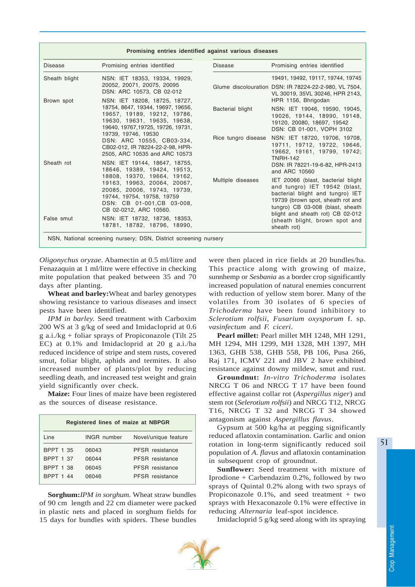| Promising entries identified against various diseases |                                                                                                                                                                                |                   |                                                                                                                                                                                                                      |  |  |
|-------------------------------------------------------|--------------------------------------------------------------------------------------------------------------------------------------------------------------------------------|-------------------|----------------------------------------------------------------------------------------------------------------------------------------------------------------------------------------------------------------------|--|--|
| <b>Disease</b>                                        | Promising entries identified                                                                                                                                                   | <b>Disease</b>    | Promising entries identified                                                                                                                                                                                         |  |  |
| Sheath blight                                         | NSN: IET 18353, 19334, 19929,<br>20052, 20071, 20075, 20095<br>DSN: ARC 10573, CB 02-012                                                                                       |                   | 19491, 19492, 19117, 19744, 19745<br>Glume discolouration DSN: IR 78224-22-2-980, VL 7504,<br>VL 30019, 35VL 30246, HPR 2143,                                                                                        |  |  |
| Brown spot                                            | NSN: IET 18208, 18725, 18727,<br>18754, 8647, 19344, 19697, 19656,<br>19657, 19189, 19212, 19786,<br>19630, 19631, 19635, 19638,<br>19640, 19767, 19725, 19726, 19731,         | Bacterial blight  | HPR 1156, Bhrigodan<br>NSN: IET 19046, 19590, 19045,<br>19026, 19144, 18990, 19148,<br>19120, 20080, 18697, 19542<br>DSN: CB 01-001, VOPH 3102                                                                       |  |  |
|                                                       | 19739, 19746, 19530<br>DSN: ARC 10555, CB03-334,<br>CB02-012, IR 78224-22-2-98, HPR-<br>2505, ARC 10535 and ARC 10573                                                          |                   | Rice tungro disease NSN: IET 18720, 19706, 19708,<br>19711, 19712, 19722, 19646,<br>19662, 19161, 19799, 19742;<br><b>TNRH-142</b>                                                                                   |  |  |
| Sheath rot                                            | NSN: IET 19144, 18647, 18755,<br>18646, 19389, 19424, 19513,                                                                                                                   |                   | DSN: IR 78221-19-6-82, HPR-2413<br>and ARC 10560                                                                                                                                                                     |  |  |
|                                                       | 18808, 19370, 19664, 19162,<br>19163, 19963, 20064, 20067,<br>20085, 20006, 19743, 19739,<br>19744, 19754, 19758, 19759<br>DSN: CB 01-001.CB 03-008.<br>CB 02-0212, ARC 10560. | Multiple diseases | IET 20066 (blast, bacterial blight<br>and tungro) IET 19542 (blast,<br>bacterial blight and tungro) IET<br>19739 (brown spot, sheath rot and<br>tungro) CB 03-008 (blast, sheath<br>blight and sheath rot) CB 02-012 |  |  |
| False smut                                            | NSN: IET 18732, 18736, 18353,<br>18781, 18782, 18796, 18990,                                                                                                                   |                   | (sheath blight, brown spot and<br>sheath rot)                                                                                                                                                                        |  |  |
|                                                       | NSN, National screening nursery; DSN, District screening nursery                                                                                                               |                   |                                                                                                                                                                                                                      |  |  |

*Oligonychus oryzae*. Abamectin at 0.5 ml/litre and Fenazaquin at 1 ml/litre were effective in checking mite population that peaked between 35 and 70 days after planting.

**Wheat and barley:**Wheat and barley genotypes showing resistance to various diseases and insect pests have been identified.

*IPM in barley.* Seed treatment with Carboxim 200 WS at 3 g/kg of seed and Imidacloprid at 0.6 g a.i./kg + foliar sprays of Propiconazole (Tilt 25 EC) at 0.1% and Imidacloprid at 20 g a.i./ha reduced incidence of stripe and stem rusts, covered smut, foliar blight, aphids and termites. It also increased number of plants/plot by reducing seedling death, and increased test weight and grain yield significantly over check.

**Maize:** Four lines of maize have been registered as the sources of disease resistance.

| Registered lines of maize at NBPGR |                    |                      |  |  |  |
|------------------------------------|--------------------|----------------------|--|--|--|
| Line                               | <b>INGR</b> number | Novel/unique feature |  |  |  |
| <b>BPPT 1 35</b>                   | 06043              | PFSR resistance      |  |  |  |
| <b>BPPT 1 37</b>                   | 06044              | PFSR resistance      |  |  |  |
| <b>BPPT 1 38</b>                   | 06045              | PFSR resistance      |  |  |  |
| <b>BPPT 1 44</b>                   | 06046              | PFSR resistance      |  |  |  |

**Sorghum:***IPM in sorghum.* Wheat straw bundles of 90 cm length and 22 cm diameter were packed in plastic nets and placed in sorghum fields for 15 days for bundles with spiders. These bundles were then placed in rice fields at 20 bundles/ha. This practice along with growing of maize, sunnhemp or *Sesbania* as a border crop significantly increased population of natural enemies concurrent with reduction of yellow stem borer. Many of the volatiles from 30 isolates of 6 species of *Trichoderma* have been found inhibitory to *Sclerotium rolfsii, Fusarium oxysporum* f. sp. *vasinfectum* and *F. ciceri*.

**Pearl millet:** Pearl millet MH 1248, MH 1291, MH 1294, MH 1299, MH 1328, MH 1397, MH 1363, GHB 538, GHB 558, PB 106, Pusa 266, Raj 171, ICMV 221 and JBV 2 have exhibited resistance against downy mildew, smut and rust.

**Groundnut:** *In-vitro Trichoderma* isolates NRCG T 06 and NRCG T 17 have been found effective against collar rot (*Aspergillus niger*) and stem rot (*Selerotium rolfsii*) and NRCG T12, NRCG T16, NRCG T 32 and NRCG T 34 showed antagonism against *Aspergillus flavus*.

Gypsum at 500 kg/ha at pegging significantly reduced aflatoxin contamination. Garlic and onion rotation in long-term significantly reduced soil population of *A*. *flavus* and aflatoxin contamination in subsequent crop of groundnut.

**Sunflower:** Seed treatment with mixture of Iprodione + Carbendazim 0.2%, followed by two sprays of Quintal 0.2% along with two sprays of Propiconazole 0.1%, and seed treatment + two sprays with Hexaconazole 0.1% were effective in reducing *Alternaria* leaf-spot incidence.

Imidacloprid 5 g/kg seed along with its spraying

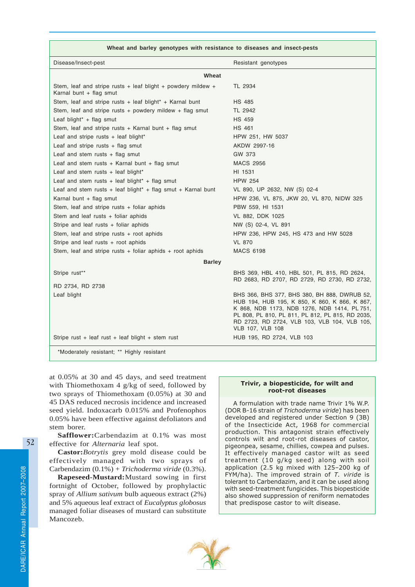| Wheat and barley genotypes with resistance to diseases and insect-pests                       |                                                                                                                                                                                                                       |  |  |  |  |
|-----------------------------------------------------------------------------------------------|-----------------------------------------------------------------------------------------------------------------------------------------------------------------------------------------------------------------------|--|--|--|--|
| Disease/Insect-pest                                                                           | Resistant genotypes                                                                                                                                                                                                   |  |  |  |  |
| Wheat                                                                                         |                                                                                                                                                                                                                       |  |  |  |  |
| Stem, leaf and stripe rusts $+$ leaf blight $+$ powdery mildew $+$<br>Karnal bunt + flag smut | TL 2934                                                                                                                                                                                                               |  |  |  |  |
| Stem, leaf and stripe rusts + leaf blight* + Karnal bunt                                      | <b>HS 485</b>                                                                                                                                                                                                         |  |  |  |  |
| Stem, leaf and stripe rusts $+$ powdery mildew $+$ flag smut                                  | TL 2942                                                                                                                                                                                                               |  |  |  |  |
| Leaf blight* + flag smut                                                                      | <b>HS 459</b>                                                                                                                                                                                                         |  |  |  |  |
| Stem, leaf and stripe rusts $+$ Karnal bunt $+$ flag smut                                     | <b>HS 461</b>                                                                                                                                                                                                         |  |  |  |  |
| Leaf and stripe rusts $+$ leaf blight*                                                        | HPW 251, HW 5037                                                                                                                                                                                                      |  |  |  |  |
| Leaf and stripe rusts $+$ flag smut                                                           | AKDW 2997-16                                                                                                                                                                                                          |  |  |  |  |
| Leaf and stem rusts + flag smut                                                               | GW 373                                                                                                                                                                                                                |  |  |  |  |
| Leaf and stem rusts + Karnal bunt + flag smut                                                 | <b>MACS 2956</b>                                                                                                                                                                                                      |  |  |  |  |
| Leaf and stem rusts $+$ leaf blight*                                                          | HI 1531                                                                                                                                                                                                               |  |  |  |  |
| Leaf and stem rusts + leaf blight* + flag smut                                                | <b>HPW 254</b>                                                                                                                                                                                                        |  |  |  |  |
| Leaf and stem rusts + leaf blight <sup>*</sup> + flag smut + Karnal bunt                      | VL 890, UP 2632, NW (S) 02-4                                                                                                                                                                                          |  |  |  |  |
| Karnal bunt + flag smut                                                                       | HPW 236, VL 875, JKW 20, VL 870, NIDW 325                                                                                                                                                                             |  |  |  |  |
| Stem, leaf and stripe rusts $+$ foliar aphids                                                 | PBW 559, HI 1531                                                                                                                                                                                                      |  |  |  |  |
| Stem and leaf rusts + foliar aphids                                                           | VL 882, DDK 1025                                                                                                                                                                                                      |  |  |  |  |
| Stripe and leaf rusts + foliar aphids                                                         | NW (S) 02-4, VL 891                                                                                                                                                                                                   |  |  |  |  |
| Stem, leaf and stripe rusts $+$ root aphids                                                   | HPW 236, HPW 245, HS 473 and HW 5028                                                                                                                                                                                  |  |  |  |  |
| Stripe and leaf rusts + root aphids                                                           | <b>VL 870</b>                                                                                                                                                                                                         |  |  |  |  |
| Stem, leaf and stripe rusts $+$ foliar aphids $+$ root aphids                                 | <b>MACS 6198</b>                                                                                                                                                                                                      |  |  |  |  |
| <b>Barley</b>                                                                                 |                                                                                                                                                                                                                       |  |  |  |  |
| Stripe rust**                                                                                 | BHS 369, HBL 410, HBL 501, PL 815, RD 2624,                                                                                                                                                                           |  |  |  |  |
| RD 2734, RD 2738                                                                              | RD 2683, RD 2707, RD 2729, RD 2730, RD 2732,                                                                                                                                                                          |  |  |  |  |
| Leaf blight                                                                                   | BHS 366, BHS 377, BHS 380, BH 888, DWRUB 52,                                                                                                                                                                          |  |  |  |  |
|                                                                                               | HUB 194, HUB 195, K 850, K 860, K 866, K 867,<br>K 868, NDB 1173, NDB 1276, NDB 1414, PL 751,<br>PL 808, PL 810, PL 811, PL 812, PL 815, RD 2035,<br>RD 2723, RD 2724, VLB 103, VLB 104, VLB 105,<br>VLB 107, VLB 108 |  |  |  |  |
| Stripe rust + leaf rust + leaf blight + stem rust                                             | HUB 195, RD 2724, VLB 103                                                                                                                                                                                             |  |  |  |  |
| *Moderately resistant; ** Highly resistant                                                    |                                                                                                                                                                                                                       |  |  |  |  |

at 0.05% at 30 and 45 days, and seed treatment with Thiomethoxam 4 g/kg of seed, followed by two sprays of Thiomethoxam (0.05%) at 30 and 45 DAS reduced necrosis incidence and increased seed yield. Indoxacarb 0.015% and Profenophos 0.05% have been effective against defoliators and stem borer.

**Safflower:**Carbendazim at 0.1% was most effective for *Alternaria* leaf spot.

**Castor:***Botrytis* grey mold disease could be effectively managed with two sprays of Carbendazim (0.1%) + *Trichoderma viride* (0.3%).

**Rapeseed-Mustard:**Mustard sowing in first fortnight of October, followed by prophylactic spray of *Allium sativum* bulb aqueous extract (2%) and 5% aqueous leaf extract of *Eucalyptus globosus* managed foliar diseases of mustard can substitute Mancozeb.

#### Trivir, a biopesticide, for wilt and root-rot diseases

A formulation with trade name Trivir 1% W.P. (DOR B-16 strain of Trichoderma viride) has been developed and registered under Section 9 (3B) of the Insecticide Act, 1968 for commercial production. This antagonist strain effectively controls wilt and root-rot diseases of castor, pigeonpea, sesame, chillies, cowpea and pulses. It effectively managed castor wilt as seed treatment (10 g/kg seed) along with soil application (2.5 kg mixed with 125–200 kg of FYM/ha). The improved strain of  $T$ . viride is tolerant to Carbendazim, and it can be used along with seed-treatment fungicides. This biopesticide also showed suppression of reniform nematodes that predispose castor to wilt disease.

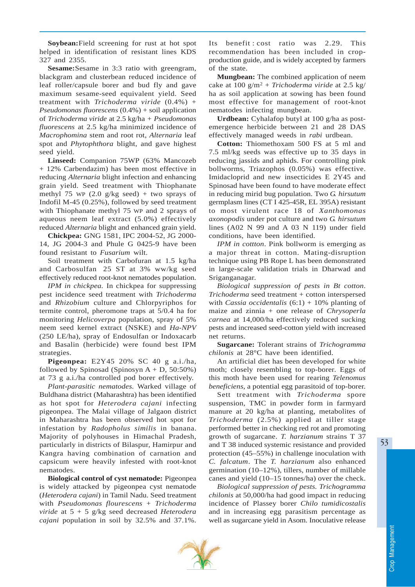**Soybean:**Field screening for rust at hot spot helped in identification of resistant lines KDS 327 and 2355.

**Sesame:**Sesame in 3:3 ratio with greengram, blackgram and clusterbean reduced incidence of leaf roller/capsule borer and bud fly and gave maximum sesame-seed equivalent yield. Seed treatment with *Trichoderma viride* (0.4%) + *Pseudomonas fluorescens* (0.4%) + soil application of *Trichoderma viride* at 2.5 kg/ha *+ Pseudomonas fluorescens* at 2.5 kg/ha minimized incidence of *Macrophomina* stem and root rot, *Alternaria* leaf spot and *Phytophthora* blight, and gave highest seed yield.

**Linseed:** Companion 75WP (63% Mancozeb + 12% Carbendazim) has been most effective in reducing *Alternaria* blight infection and enhancing grain yield. Seed treatment with Thiophanate methyl 75 WP  $(2.0 \text{ g/kg seed}) +$  two sprays of Indofil M-45 (0.25%), followed by seed treatment with Thiophanate methyl 75 WP and 2 sprays of aqueous neem leaf extract (5.0%) effectively reduced *Alternaria* blight and enhanced grain yield.

**Chickpea:** GNG 1581, IPC 2004-52, JG 2000- 14, JG 2004-3 and Phule G 0425-9 have been found resistant to *Fusarium* wilt.

Soil treatment with Carbofuran at 1.5 kg/ha and Carbosulfan 25 ST at 3% ww/kg seed effectively reduced root-knot nematodes population.

*IPM in chickpea.* In chickpea for suppressing pest incidence seed treatment with *Trichoderma* and *Rhizobium* culture and Chlorpyriphos for termite control, pheromone traps at 5/0.4 ha for monitoring *Helicoverpa* population, spray of 5% neem seed kernel extract (NSKE) and *Ha-NPV* (250 LE/ha), spray of Endosulfan or Indoxacarb and Basalin (herbicide) were found best IPM strategies.

**Pigeonpea:** E2Y45 20% SC 40 g a.i./ha, followed by Spinosad (Spinosyn  $A + D$ , 50:50%) at 73 g a.i./ha controlled pod borer effectively.

*Plant-parasitic nematodes.* Warked village of Buldhana district (Maharashtra) has been identified as hot spot for *Heterodera cajani* infecting pigeonpea. The Malai village of Jalgaon district in Maharashtra has been observed hot spot for infestation by *Radopholus similis* in banana. Majority of polyhouses in Himachal Pradesh, particularly in districts of Bilaspur, Hamirpur and Kangra having combination of carnation and capsicum were heavily infested with root-knot nematodes.

**Biological control of cyst nematode:** Pigeonpea is widely attacked by pigeonpea cyst nematode (*Heterodera cajani*) in Tamil Nadu. Seed treatment with *Pseudomonas flourescens* + *Trichoderma viride* at 5 + 5 g/kg seed decreased *Heterodera cajani* population in soil by 32.5% and 37.1%.

Its benefit : cost ratio was 2.29. This recommendation has been included in cropproduction guide, and is widely accepted by farmers of the state.

**Mungbean:** The combined application of neem cake at 100 g/m2 + *Trichoderma viride* at 2.5 kg/ ha as soil application at sowing has been found most effective for management of root-knot nematodes infecting mungbean.

**Urdbean:** Cyhalafop butyl at 100 g/ha as postemergence herbicide between 21 and 28 DAS effectively managed weeds in *rabi* urdbean.

**Cotton:** Thiomethoxam 500 FS at 5 ml and 7.5 ml/kg seeds was effective up to 35 days in reducing jassids and aphids. For controlling pink bollworms, Triazophos (0.05%) was effective. Imidacloprid and new insecticides E 2Y45 and Spinosad have been found to have moderate effect in reducing mirid bug population. Two *G. hirsutum* germplasm lines (CT I 425-45R, EL 395A) resistant to most virulent race 18 of *Xanthomonas axonopodis* under pot culture and two *G. hirsutum* lines (A02 N 99 and A 03 N 119) under field conditions, have been identified.

*IPM in cottton*. Pink bollworm is emerging as a major threat in cotton. Mating-disruption technique using PB Rope L has been demonstrated in large-scale validation trials in Dharwad and Sriganganagar.

*Biological suppression of pests in Bt cotton*. *Trichoderma* seed treatment + cotton interspersed with *Cassia occidentalis* (6:1) + 10% planting of maize and zinnia + one release of *Chrysoperla carnea* at 14,000/ha effectively reduced sucking pests and increased seed-cotton yield with increased net returns.

**Sugarcane:** Tolerant strains of *Trichogramma chilonis* at 28°C have been identified.

An artificial diet has been developed for white moth; closely resembling to top-borer. Eggs of this moth have been used for rearing *Telenomus beneficiens,* a potential egg parasitoid of top-borer.

Sett treatment with *Trichoderma* spore suspension, TMC in powder form in farmyard manure at 20 kg/ha at planting, metabolites of *Trichoderma* (2.5%) applied at tiller stage performed better in checking red rot and promoting growth of sugarcane. *T. harzianum* strains T 37 and T 38 induced systemic resistance and provided protection (45–55%) in challenge inoculation with *C. falcatum*. The *T. harzianum* also enhanced germination (10–12%), tillers, number of millable canes and yield (10–15 tonnes/ha) over the check.

*Biological suppression of pests. Trichogramma chilonis* at 50,000/ha had good impact in reducing incidence of Plassey borer *Chilo tumidicostalis* and in increasing egg parasitism percentage as well as sugarcane yield in Asom. Inoculative release

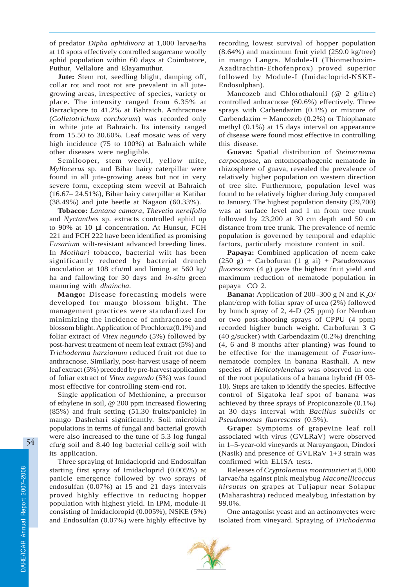of predator *Dipha aphidivora* at 1,000 larvae/ha at 10 spots effectively controlled sugarcane woolly aphid population within 60 days at Coimbatore, Puthur, Vellalore and Elayamuthur.

**Jute:** Stem rot, seedling blight, damping off, collar rot and root rot are prevalent in all jutegrowing areas, irrespective of species, variety or place. The intensity ranged from 6.35% at Barrackpore to 41.2% at Bahraich. Anthracnose (*Colletotrichum corchorum*) was recorded only in white jute at Bahraich. Its intensity ranged from 15.50 to 30.60%. Leaf mosaic was of very high incidence (75 to 100%) at Bahraich while other diseases were negligible.

Semilooper, stem weevil, yellow mite, *Myllocerus* sp. and Bihar hairy caterpillar were found in all jute-growing areas but not in very severe form, excepting stem weevil at Bahraich (16.67– 24.51%), Bihar hairy caterpillar at Katihar (38.49%) and jute beetle at Nagaon (60.33%).

**Tobacco:** *Lantana camara*, *Thevetia nereifolia* and *Nyctanthes* sp. extracts controlled aphid up to 90% at 10 µl concentration. At Hunsur, FCH 221 and FCH 222 have been identified as promising *Fusarium* wilt-resistant advanced breeding lines. In *Motihari* tobacco, bacterial wilt has been significantly reduced by bacterial drench inoculation at 108 cfu/ml and liming at 560 kg/ ha and fallowing for 30 days and *in-situ* green manuring with *dhaincha*.

**Mango:** Disease forecasting models were developed for mango blossom blight. The management practices were standardized for minimizing the incidence of anthracnose and blossom blight. Application of Prochloraz(0.1%) and foliar extract of *Vitex negundo* (5%) followed by post-harvest treatment of neem leaf extract (5%) and *Trichoderma harzianum* reduced fruit rot due to anthracnose. Similarly, post-harvest usage of neem leaf extract (5%) preceded by pre-harvest application of foliar extract of *Vitex negundo* (5%) was found most effective for controlling stem-end rot.

Single application of Methionine, a precursor of ethylene in soil, @ 200 ppm increased flowering (85%) and fruit setting (51.30 fruits/panicle) in mango Dashehari significantly. Soil microbial populations in terms of fungal and bacterial growth were also increased to the tune of 5.3 log fungal cfu/g soil and 8.40 log bacterial cells/g soil with its application.

Three spraying of Imidacloprid and Endosulfan starting first spray of Imidacloprid (0.005%) at panicle emergence followed by two sprays of endosulfan (0.07%) at 15 and 21 days intervals proved highly effective in reducing hopper population with highest yield. In IPM, module-II consisting of Imidacloropid (0.005%), NSKE (5%) and Endosulfan (0.07%) were highly effective by recording lowest survival of hopper population (8.64%) and maximum fruit yield (259.0 kg/tree) in mango Langra. Module-II (Thiomethoxim-Azadirachtin-Ethofenprox) proved superior followed by Module-I (Imidacloprid-NSKE-Endosulphan).

Mancozeb and Chlorothalonil (@ 2 g/litre) controlled anhracnose (60.6%) effectively. Three sprays with Carbendazim (0.1%) or mixture of Carbendazim + Mancozeb (0.2%) or Thiophanate methyl (0.1%) at 15 days interval on appearance of disease were found most effective in controlling this disease.

**Guava:** Spatial distribution of *Steinernema carpocapsae,* an entomopathogenic nematode in rhizosphere of guava, revealed the prevalence of relatively higher population on western direction of tree site. Furthermore, population level was found to be relatively higher during July compared to January. The highest population density (29,700) was at surface level and 1 m from tree trunk followed by 23,200 at 30 cm depth and 50 cm distance from tree trunk. The prevalence of nemic population is governed by temporal and edaphic factors, particularly moisture content in soil.

**Papaya:** Combined application of neem cake (250 g) + Carbofuran (1 g ai) + *Pseudomonas fluorescens* (4 g) gave the highest fruit yield and maximum reduction of nematode population in papaya CO 2.

**Banana:** Application of 200–300 g N and  $K_2O$ plant/crop with foliar spray of urea (2%) followed by bunch spray of 2, 4-D (25 ppm) for Nendran or two post-shooting sprays of CPPU (4 ppm) recorded higher bunch weight. Carbofuran 3 G (40 g/sucker) with Carbendazim (0.2%) drenching (4, 6 and 8 months after planting) was found to be effective for the management of *Fusarium*nematode complex in banana Rasthali. A new species of *Helicotylenchus* was observed in one of the root populations of a banana hybrid (H 03- 10). Steps are taken to identify the species*.* Effective control of Sigatoka leaf spot of banana was achieved by three sprays of Propiconazole (0.1%) at 30 days interval with *Bacillus subtilis* or *Pseudomonas fluorescens* (0.5%).

**Grape:** Symptoms of grapevine leaf roll associated with virus (GVLRaV) were observed in 1–5-year-old vineyards at Narayangaon, Dindori (Nasik) and presence of GVLRaV 1+3 strain was confirmed with ELISA tests.

Releases of *Cryptolaemus montrouzieri* at 5,000 larvae/ha against pink mealybug *Maconellicoccus hirsutus* on grapes at Tuljapur near Solapur (Maharashtra) reduced mealybug infestation by 99.0%.

One antagonist yeast and an actinomyetes were isolated from vineyard. Spraying of *Trichoderma*

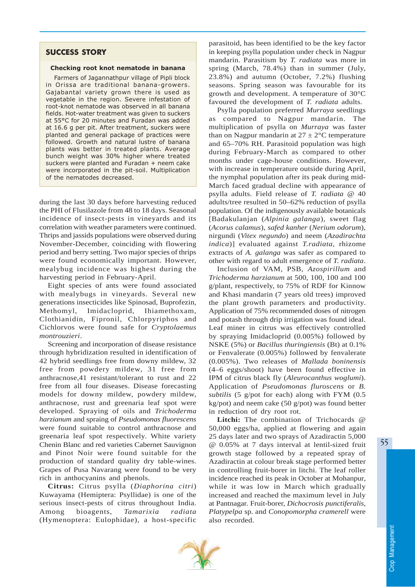# SUCCESS STORY

#### Checking root knot nematode in banana

Farmers of Jagannathpur village of Pipli block in Orissa are traditional banana-growers. Gajabantal variety grown there is used as vegetable in the region. Severe infestation of root-knot nematode was observed in all banana fields. Hot-water treatment was given to suckers at 55°C for 20 minutes and Furadan was added at 16.6 g per pit. After treatment, suckers were planted and general package of practices were followed. Growth and natural lustre of banana plants was better in treated plants. Average bunch weight was 30% higher where treated suckers were planted and Furadan + neem cake were incorporated in the pit-soil. Multiplication of the nematodes decreased.

during the last 30 days before harvesting reduced the PHI of Flusilazole from 48 to 18 days. Seasonal incidence of insect-pests in vineyards and its correlation with weather parameters were continued. Thrips and jassids populations were observed during November-December, coinciding with flowering period and berry setting. Two major species of thrips were found economically important. However, mealybug incidence was highest during the harvesting period in February-April.

Eight species of ants were found associated with mealybugs in vineyards. Several new generations insecticides like Spinosad, Buprofezin, Methomyl, Imidacloprid, Ihiamethoxam, Clothianidin, Fipronil, Chlorpyriphos and Cichlorvos were found safe for *Cryptolaemus montrouzieri*.

Screening and incorporation of disease resistance through hybridization resulted in identification of 42 hybrid seedlings free from downy mildew, 32 free from powdery mildew, 31 free from anthracnose,41 resistant/tolerant to rust and 22 free from all four diseases. Disease forecasting models for downy mildew, powdery mildew, anthracnose, rust and greenaria leaf spot were developed. Spraying of oils and *Trichoderma harzianum* and spraing of *Pseudomonas fluorescens* were found suitable to control anthracnose and greenaria leaf spot respectively. White variety Chenin Blanc and red varieties Cabernet Sauvignon and Pinot Noir were found suitable for the production of standard quality dry table-wines. Grapes of Pusa Navarang were found to be very rich in anthocyanins and phenols.

**Citrus:** Citrus psylla (*Diaphorina citri*) Kuwayama (Hemiptera: Psyllidae) is one of the serious insect-pests of citrus throughout India. Among bioagents, *Tamarixia radiata* (Hymenoptera: Eulophidae), a host-specific

parasitoid, has been identified to be the key factor in keeping psylla population under check in Nagpur mandarin. Parasitism by *T. radiata* was more in spring (March, 78.4%) than in summer (July, 23.8%) and autumn (October, 7.2%) flushing seasons. Spring season was favourable for its growth and development. A temperature of 30°C favoured the development of *T. radiata* adults.

Psylla population preferred *Murraya* seedlings as compared to Nagpur mandarin. The multiplication of psylla on *Murraya* was faster than on Nagpur mandarin at  $27 \pm 2$ °C temperature and 65–70% RH. Parasitoid population was high during February-March as compared to other months under cage-house conditions. However, with increase in temperature outside during April, the nymphal population after its peak during mid-March faced gradual decline with appearance of psylla adults. Field release of *T. radiata @* 40 adults/tree resulted in 50–62% reduction of psylla population. Of the indigenously available botanicals [Badakulanjan (*Alpinia galanga*), sweet flag (*Acorus calamus*), *safed kanher* (*Nerium odorum*), nirgundi (*Vitex negundo*) and neem (*Azadirachta indica*)] evaluated against *T.radiata,* rhizome extracts of *A. galanga* was safer as compared to other with regard to adult emergence of *T. radiata*.

Inclusion of VAM, PSB, *Azospirillum* and *Trichoderma harzianum* at 500, 100, 100 and 100 g/plant, respectively, to 75% of RDF for Kinnow and Khasi mandarin (7 years old trees) improved the plant growth parameters and productivity. Application of 75% recommended doses of nitrogen and potash through drip irrigation was found ideal. Leaf miner in citrus was effectively controlled by spraying Imidacloprid (0.005%) followed by NSKE (5%) or *Bacillus thuringiensis* (Bt) at 0.1% or Fenvalerate (0.005%) followed by fenvalerate (0.005%). Two releases of *Mallada boninensis* (4–6 eggs/shoot) have been found effective in IPM of citrus black fly (*Aleurocanthus woglumi*). Application of *Pseudomonas fluroscens* or *B. subtilis* (5 g/pot for each) along with FYM (0.5 kg/pot) and neem cake (50 g/pot) was found better in reduction of dry root rot.

**Litchi:** The combination of Trichocards @ 50,000 eggs/ha, applied at flowering and again 25 days later and two sprays of Azadiractin 5,000 @ 0.05% at 7 days interval at lentil-sized fruit growth stage followed by a repeated spray of Azadiractin at colour break stage performed better in controlling fruit-borer in litchi. The leaf roller incidence reached its peak in October at Mohanpur, while it was low in March which gradually increased and reached the maximum level in July at Pantnagar. Fruit-borer, *Dichocrosis punctiferalis, Platypelpa* sp. and *Conopomorpha cramerell* were also recorded.



55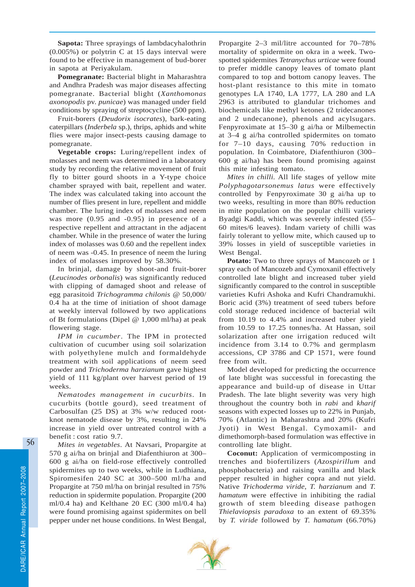**Sapota:** Three sprayings of lambdacyhalothrin (0.005%) or polytrin C at 15 days interval were found to be effective in management of bud-borer in sapota at Periyakulam.

**Pomegranate:** Bacterial blight in Maharashtra and Andhra Pradesh was major diseases affecting pomegranate. Bacterial blight (*Xanthomonas axonopodis* pv. *punicae*) was managed under field conditions by spraying of streptocycline (500 ppm).

Fruit-borers (*Deudorix isocrates*), bark-eating caterpillars (*Inderbela* sp.), thrips, aphids and white flies were major insect-pests causing damage to pomegranate.

**Vegetable crops:** Luring/repellent index of molasses and neem was determined in a laboratory study by recording the relative movement of fruit fly to bitter gourd shoots in a Y-type choice chamber sprayed with bait, repellent and water. The index was calculated taking into account the number of flies present in lure, repellent and middle chamber. The luring index of molasses and neem was more (0.95 and -0.95) in presence of a respective repellent and attractant in the adjacent chamber. While in the presence of water the luring index of molasses was 0.60 and the repellent index of neem was -0.45. In presence of neem the luring index of molasses improved by 58.30%.

In brinjal, damage by shoot-and fruit-borer (*Leucinodes orbonalis*) was significantly reduced with clipping of damaged shoot and release of egg parasitoid *Trichogramma chilonis* @ 50,000/ 0.4 ha at the time of initiation of shoot damage at weekly interval followed by two applications of Bt formulations (Dipel  $@1,000$  ml/ha) at peak flowering stage.

*IPM in cucumber*. The IPM in protected cultivation of cucumber using soil solarization with polyethylene mulch and formaldehyde treatment with soil applications of neem seed powder and *Trichoderma harzianum* gave highest yield of 111 kg/plant over harvest period of 19 weeks.

*Nematodes management in cucurbits*. In cucurbits (bottle gourd), seed treatment of Carbosulfan (25 DS) at 3% w/w reduced rootknot nematode disease by 3%, resulting in 24% increase in yield over untreated control with a benefit : cost ratio 9.7.

*Mites in vegetables*. At Navsari, Propargite at 570 g ai/ha on brinjal and Diafenthiuron at 300– 600 g ai/ha on field-rose effectively controlled spidermites up to two weeks, while in Ludhiana, Spiromesifen 240 SC at 300–500 ml/ha and Propargite at 750 ml/ha on brinjal resulted in 75% reduction in spidermite population. Propargite (200 ml/0.4 ha) and Kelthane 20 EC (300 ml/0.4 ha) were found promising against spidermites on bell pepper under net house conditions. In West Bengal, Propargite 2–3 mil/litre accounted for 70–78% mortality of spidermite on okra in a week. Twospotted spidermites *Tetranychus urticae* were found to prefer middle canopy leaves of tomato plant compared to top and bottom canopy leaves. The host-plant resistance to this mite in tomato genotypes LA 1740, LA 1777, LA 280 and LA 2963 is attributed to glandular trichomes and biochemicals like methyl ketones (2 tridecanones and 2 undecanone), phenols and acylsugars. Fenpyroximate at 15–30 g ai/ha or Milbemectin at 3–4 g ai/ha controlled spidermites on tomato for 7–10 days, causing 70% reduction in population. In Coimbatore, Diafenthiuron (300– 600 g ai/ha) has been found promising against this mite infesting tomato.

*Mites in chilli*. All life stages of yellow mite *Polyphagotarsonemus latus* were effectively controlled by Fenpyroximate 30 g ai/ha up to two weeks, resulting in more than 80% reduction in mite population on the popular chilli variety Byadgi Kaddi, which was severely infested (55– 60 mites/6 leaves). Indam variety of chilli was fairly tolerant to yellow mite, which caused up to 39% losses in yield of susceptible varieties in West Bengal.

**Potato:** Two to three sprays of Mancozeb or 1 spray each of Mancozeb and Cymoxanil effectively controlled late blight and increased tuber yield significantly compared to the control in susceptible varieties Kufri Ashoka and Kufri Chandramukhi. Boric acid (3%) treatment of seed tubers before cold storage reduced incidence of bacterial wilt from 10.19 to 4.4% and increased tuber yield from 10.59 to 17.25 tonnes/ha. At Hassan, soil solarization after one irrigation reduced wilt incidence from 3.14 to 0.7% and germplasm accessions, CP 3786 and CP 1571, were found free from wilt.

Model developed for predicting the occurrence of late blight was successful in forecasting the appearance and build-up of disease in Uttar Pradesh. The late blight severity was very high throughout the country both in *rabi* and *kharif* seasons with expected losses up to 22% in Punjab, 70% (Atlantic) in Maharashtra and 20% (Kufri Jyoti) in West Bengal. Cymoxamil- and dimethomorph-based formulation was effective in controlling late blight.

**Coconut:** Application of vermicomposting in trenches and biofertilizers (*Azospirillum* and phosphobacteria) and raising vanilla and black pepper resulted in higher copra and nut yield. Native *Trichoderma viride*, *T. harzianum* and *T. hamatum* were effective in inhibiting the radial growth of stem bleeding disease pathogen *Thielaviopsis paradoxa* to an extent of 69.35% by *T. viride* followed by *T. hamatum* (66.70%)

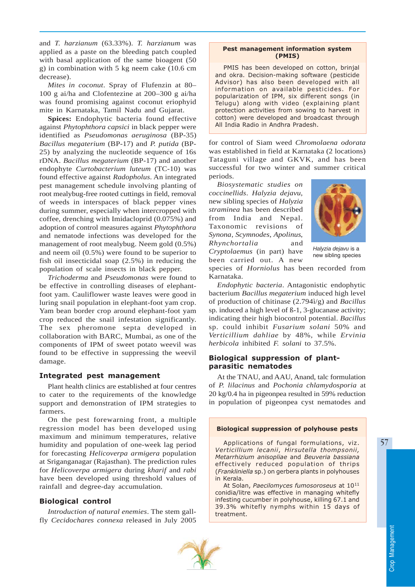and *T. harzianum* (63.33%). *T. harzianum* was applied as a paste on the bleeding patch coupled with basal application of the same bioagent (50 g) in combination with 5 kg neem cake (10.6 cm decrease).

*Mites in coconut*. Spray of Flufenzin at 80– 100 g ai/ha and Clofentezine at 200–300 g ai/ha was found promising against coconut eriophyid mite in Karnataka, Tamil Nadu and Gujarat.

**Spices:** Endophytic bacteria found effective against *Phytophthora capsici* in black pepper were identified as *Pseudomonas aeruginosa* (BP-35) *Bacillus megaterium* (BP-17) and *P. putida* (BP-25) by analyzing the nucleotide sequence of 16s rDNA. *Bacillus megaterium* (BP-17) and another endophyte *Curtobacterium luteum* (TC-10) was found effective against *Radopholus*. An integrated pest management schedule involving planting of root mealybug-free rooted cuttings in field, removal of weeds in interspaces of black pepper vines during summer, especially when intercropped with coffee, drenching with Imidacloprid (0.075%) and adoption of control measures against *Phytophthora* and nematode infections was developed for the management of root mealybug. Neem gold (0.5%) and neem oil (0.5%) were found to be superior to fish oil insecticidal soap (2.5%) in reducing the population of scale insects in black pepper.

*Trichoderma* and *Pseudomonas* were found to be effective in controlling diseases of elephantfoot yam. Cauliflower waste leaves were good in luring snail population in elephant-foot yam crop. Yam bean border crop around elephant-foot yam crop reduced the snail infestation significantly. The sex pheromone septa developed in collaboration with BARC, Mumbai, as one of the components of IPM of sweet potato weevil was found to be effective in suppressing the weevil damage.

## Integrated pest management

Plant health clinics are established at four centres to cater to the requirements of the knowledge support and demonstration of IPM strategies to farmers.

On the pest forewarning front, a multiple regression model has been developed using maximum and minimum temperatures, relative humidity and population of one-week lag period for forecasting *Helicoverpa armigera* population at Sriganganagar (Rajasthan). The prediction rules for *Helicoverpa armigera* during *kharif* and *rabi* have been developed using threshold values of rainfall and degree-day accumulation.

### Biological control

*Introduction of natural enemies*. The stem gallfly *Cecidochares connexa* released in July 2005

#### Pest management information system (PMIS)

PMIS has been developed on cotton, brinjal and okra. Decision-making software (pesticide Advisor) has also been developed with all information on available pesticides. For popularization of IPM, six different songs (in Telugu) along with video (explaining plant protection activities from sowing to harvest in cotton) were developed and broadcast through All India Radio in Andhra Pradesh.

for control of Siam weed *Chromolaena odorata* was established in field at Karnataka (2 locations) Tataguni village and GKVK, and has been successful for two winter and summer critical periods.

*Biosystematic studies on coccinellids*. *Halyzia dejavu*, new sibling species of *Halyzia straminea* has been described from India and Nepal. Taxonomic revisions of *Synona*, *Scymnodes*, *Apolinus*, *Rhynchortalia* and *Cryptolaemus* (in part) have been carried out. A new



*Halyzia dejavu* is a new sibling species

species of *Horniolus* has been recorded from Karnataka.

*Endophytic bacteria*. Antagonistic endophytic bacterium *Bacillus megaterium* induced high level of production of chitinase (2.794ì/g) and *Bacillus* sp. induced a high level of ß-1, 3-glucanase activity; indicating their high biocontrol potential. *Bacillus* sp. could inhibit *Fusarium solani* 50% and *Verticillium dahliae* by 48%, while *Ervinia herbicola* inhibited *F. solani* to 37.5%.

# Biological suppression of plantparasitic nematodes

At the TNAU, and AAU, Anand, talc formulation of *P. lilacinus* and *Pochonia chlamydosporia* at 20 kg/0.4 ha in pigeonpea resulted in 59% reduction in population of pigeonpea cyst nematodes and

#### Biological suppression of polyhouse pests

Applications of fungal formulations, viz. Verticillium lecanii, Hirsutella thompsonii, Metarrhizium anisopliae and Beuveria bassiana effectively reduced population of thrips (Frankliniella sp.) on gerbera plants in polyhouses in Kerala.

At Solan, Paecilomyces fumosoroseus at 10<sup>11</sup> conidia/litre was effective in managing whitefly infesting cucumber in polyhouse, killing 67.1 and 39.3% whitefly nymphs within 15 days of treatment.

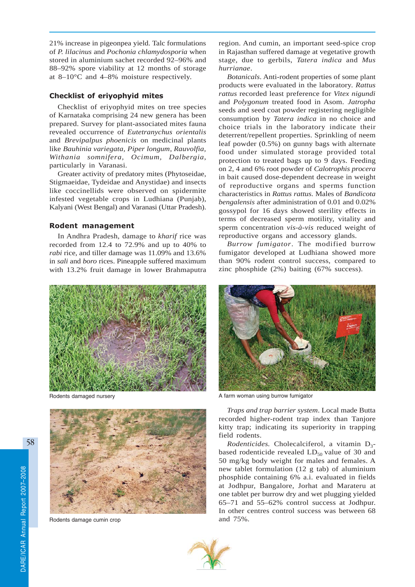21% increase in pigeonpea yield. Talc formulations of *P. lilacinus* and *Pochonia chlamydosporia* when stored in aluminium sachet recorded 92–96% and 88–92% spore viability at 12 months of storage at 8–10°C and 4–8% moisture respectively.

# Checklist of eriyophyid mites

Checklist of eriyophyid mites on tree species of Karnataka comprising 24 new genera has been prepared. Survey for plant-associated mites fauna revealed occurrence of *Eutetranychus orientalis* and *Brevipalpus phoenicis* on medicinal plants like *Bauhinia variegata, Piper longum*, *Rauvolfia, Withania somnifera, Ocimum, Dalbergia*, particularly in Varanasi.

Greater activity of predatory mites (Phytoseidae, Stigmaeidae, Tydeidae and Anystidae) and insects like coccinellids were observed on spidermite infested vegetable crops in Ludhiana (Punjab), Kalyani (West Bengal) and Varanasi (Uttar Pradesh).

# Rodent management

In Andhra Pradesh, damage to *kharif* rice was recorded from 12.4 to 72.9% and up to 40% to *rabi* rice, and tiller damage was 11.09% and 13.6% in *sali* and *boro* rices. Pineapple suffered maximum with 13.2% fruit damage in lower Brahmaputra region. And cumin, an important seed-spice crop in Rajasthan suffered damage at vegetative growth stage, due to gerbils, *Tatera indica* and *Mus hurrianae*.

*Botanicals*. Anti-rodent properties of some plant products were evaluated in the laboratory. *Rattus rattus* recorded least preference for *Vitex nigundi* and *Polygonum* treated food in Asom. *Jatropha* seeds and seed coat powder registering negligible consumption by *Tatera indica* in no choice and choice trials in the laboratory indicate their deterrent/repellent properties. Sprinkling of neem leaf powder (0.5%) on gunny bags with alternate food under simulated storage provided total protection to treated bags up to 9 days. Feeding on 2, 4 and 6% root powder of *Calotrophis procera* in bait caused dose-dependent decrease in weight of reproductive organs and sperms function characteristics in *Rattus rattus.* Males of *Bandicota bengalensis* after administration of 0.01 and 0.02% gossypol for 16 days showed sterility effects in terms of decreased sperm motility, vitality and sperm concentration *vis-à-vis* reduced weight of reproductive organs and accessory glands.

*Burrow fumigator*. The modified burrow fumigator developed at Ludhiana showed more than 90% rodent control success, compared to zinc phosphide (2%) baiting (67% success).



Rodents damaged nursery



Rodents damage cumin crop



A farm woman using burrow fumigator

*Traps and trap barrier system*. Local made Butta recorded higher-rodent trap index than Tanjore kitty trap; indicating its superiority in trapping field rodents.

*Rodenticides.* Cholecalciferol, a vitamin  $D_3$ based rodenticide revealed  $LD_{50}$  value of 30 and 50 mg/kg body weight for males and females. A new tablet formulation (12 g tab) of aluminium phosphide containing 6% a.i. evaluated in fields at Jodhpur, Bangalore, Jorhat and Marateru at one tablet per burrow dry and wet plugging yielded 65–71 and 55–62% control success at Jodhpur. In other centres control success was between 68 and 75%.

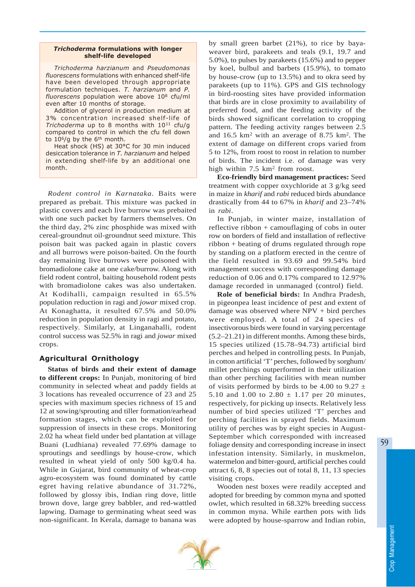### Trichoderma formulations with longer shelf-life developed

Trichoderma harzianum and Pseudomonas fluorescens formulations with enhanced shelf-life have been developed through appropriate formulation techniques. T. harzianum and P. fluorescens population were above 108 cfu/ml even after 10 months of storage.

Addition of glycerol in production medium at 3% concentration increased shelf-life of Trichoderma up to 8 months with  $10^{11}$  cfu/g compared to control in which the cfu fell down to 10<sup>6</sup>/g by the 6<sup>th</sup> month.

Heat shock (HS) at 30°C for 30 min induced desiccation tolerance in T. harzianum and helped in extending shelf-life by an additional one month.

*Rodent control in Karnataka*. Baits were prepared as prebait. This mixture was packed in plastic covers and each live burrow was prebaited with one such packet by farmers themselves. On the third day, 2% zinc phosphide was mixed with cereal-groundnut oil-groundnut seed mixture. This poison bait was packed again in plastic covers and all burrows were poison-baited. On the fourth day remaining live burrows were poisoned with bromadiolone cake at one cake/burrow. Along with field rodent control, baiting household rodent pests with bromadiolone cakes was also undertaken. At Kodihalli, campaign resulted in 65.5% population reduction in ragi and *jowar* mixed crop. At Konaghatta, it resulted 67.5% and 50.0% reduction in population density in ragi and potato, respectively. Similarly, at Linganahalli, rodent control success was 52.5% in ragi and *jowar* mixed crops.

## Agricultural Ornithology

**Status of birds and their extent of damage to different crops:** In Punjab, monitoring of bird community in selected wheat and paddy fields at 3 locations has revealed occurrence of 23 and 25 species with maximum species richness of 15 and 12 at sowing/sprouting and tiller formation/earhead formation stages, which can be exploited for suppression of insects in these crops. Monitoring 2.02 ha wheat field under bed plantation at village Buani (Ludhiana) revealed 77.69% damage to sproutings and seedlings by house-crow, which resulted in wheat yield of only 500 kg/0.4 ha. While in Gujarat, bird community of wheat-crop agro-ecosystem was found dominated by cattle egret having relative abundance of 31.72%, followed by glossy ibis, Indian ring dove, little brown dove, large grey babbler, and red-wattled lapwing. Damage to germinating wheat seed was non-significant. In Kerala, damage to banana was

by small green barbet (21%), to rice by bayaweaver bird, parakeets and teals (9.1, 19.7 and 5.0%), to pulses by parakeets (15.6%) and to pepper by koel, bulbul and barbets (15.9%), to tomato by house-crow (up to 13.5%) and to okra seed by parakeets (up to 11%). GPS and GIS technology in bird-roosting sites have provided information that birds are in close proximity to availability of preferred food, and the feeding activity of the birds showed significant correlation to cropping pattern. The feeding activity ranges between 2.5 and 16.5 km2 with an average of 8.75 km2. The extent of damage on different crops varied from 5 to 12%, from roost to roost in relation to number of birds. The incident i.e. of damage was very high within 7.5 km<sup>2</sup> from roost.

**Eco-friendly bird management practices:** Seed treatment with copper oxychloride at 3 g/kg seed in maize in *kharif* and *rabi* reduced birds abundance drastically from 44 to 67% in *kharif* and 23–74% in *rabi*.

In Punjab, in winter maize, installation of reflective ribbon + camouflaging of cobs in outer row on borders of field and installation of reflective ribbon + beating of drums regulated through rope by standing on a platform erected in the centre of the field resulted in 93.69 and 99.54% bird management success with corresponding damage reduction of 0.06 and 0.17% compared to 12.97% damage recorded in unmanaged (control) field.

**Role of beneficial birds:** In Andhra Pradesh, in pigeonpea least incidence of pest and extent of damage was observed where NPV + bird perches were employed. A total of 24 species of insectivorous birds were found in varying percentage (5.2–21.21) in different months. Among these birds, 15 species utilized (15.78–94.73) artificial bird perches and helped in controlling pests. In Punjab, in cotton artificial 'T' perches, followed by sorghum/ millet perchings outperformed in their utilization than other perching facilities with mean number of visits performed by birds to be 4.00 to 9.27  $\pm$ 5.10 and 1.00 to  $2.80 \pm 1.17$  per 20 minutes, respectively, for picking up insects. Relatively less number of bird species utilized 'T' perches and perching facilities in sprayed fields. Maximum utility of perches was by eight species in August-September which corresponded with increased foliage density and corresponding increase in insect infestation intensity. Similarly, in muskmelon, watermelon and bitter-gourd, artificial perches could attract 6, 8, 8 species out of total 8, 11, 13 species visiting crops.

Wooden nest boxes were readily accepted and adopted for breeding by common myna and spotted owlet, which resulted in 68.32% breeding success in common myna. While earthen pots with lids were adopted by house-sparrow and Indian robin,



59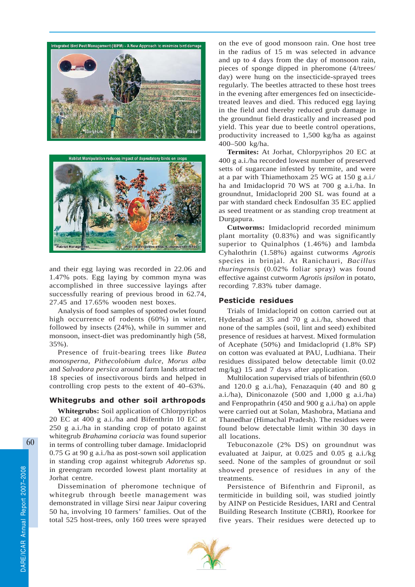



and their egg laying was recorded in 22.06 and 1.47% pots. Egg laying by common myna was accomplished in three successive layings after successfully rearing of previous brood in 62.74, 27.45 and 17.65% wooden nest boxes.

Analysis of food samples of spotted owlet found high occurrence of rodents (60%) in winter, followed by insects (24%), while in summer and monsoon, insect-diet was predominantly high (58, 35%).

Presence of fruit-bearing trees like *Butea monosperna, Pithecolobium dulce, Morus alba* and *Salvadora persica* around farm lands attracted 18 species of insectivorous birds and helped in controlling crop pests to the extent of 40–63%.

### Whitegrubs and other soil arthropods

**Whitegrubs:** Soil application of Chlorpyriphos 20 EC at 400 g a.i./ha and Bifenthrin 10 EC at 250 g a.i./ha in standing crop of potato against whitegrub *Brahamina coriacia* was found superior in terms of controlling tuber damage. Imidacloprid 0.75 G at 90 g a.i./ha as post-sown soil application in standing crop against whitegrub *Adoretus* sp. in greengram recorded lowest plant mortality at Jorhat centre.

Dissemination of pheromone technique of whitegrub through beetle management was demonstrated in village Sirsi near Jaipur covering 50 ha, involving 10 farmers' families. Out of the total 525 host-trees, only 160 trees were sprayed on the eve of good monsoon rain. One host tree in the radius of 15 m was selected in advance and up to 4 days from the day of monsoon rain, pieces of sponge dipped in pheromone (4/trees/ day) were hung on the insecticide-sprayed trees regularly. The beetles attracted to these host trees in the evening after emergences fed on insecticidetreated leaves and died. This reduced egg laying in the field and thereby reduced grub damage in the groundnut field drastically and increased pod yield. This year due to beetle control operations, productivity increased to 1,500 kg/ha as against 400–500 kg/ha.

**Termites:** At Jorhat, Chlorpyriphos 20 EC at 400 g a.i./ha recorded lowest number of preserved setts of sugarcane infested by termite, and were at a par with Thiamethoxam 25 WG at 150 g a.i./ ha and Imidacloprid 70 WS at 700 g a.i./ha. In groundnut, Imidacloprid 200 SL was found at a par with standard check Endosulfan 35 EC applied as seed treatment or as standing crop treatment at Durgapura.

**Cutworms:** Imidacloprid recorded minimum plant mortality (0.83%) and was significantly superior to Quinalphos (1.46%) and lambda Cyhalothrin (1.58%) against cutworms *Agrotis* species in brinjal. At Ranichauri, *Bacillus thuringensis* (0.02% foliar spray) was found effective against cutworm *Agrotis ipsilon* in potato, recording 7.83% tuber damage.

## Pesticide residues

Trials of Imidacloprid on cotton carried out at Hyderabad at 35 and 70 g a.i./ha, showed that none of the samples (soil, lint and seed) exhibited presence of residues at harvest. Mixed formulation of Acephate (50%) and Imidacloprid (1.8% SP) on cotton was evaluated at PAU, Ludhiana. Their residues dissipated below detectable limit (0.02 mg/kg) 15 and 7 days after application.

Multilocation supervised trials of bifenthrin (60.0 and 120.0 g a.i./ha), Fenazaquin (40 and 80 g a.i./ha), Diniconazole (500 and 1,000 g a.i./ha) and Fenpropathrin (450 and 900 g a.i./ha) on apple were carried out at Solan, Mashobra, Matiana and Thanedhar (Himachal Pradesh). The residues were found below detectable limit within 30 days in all locations.

Tebuconazole (2% DS) on groundnut was evaluated at Jaipur, at 0.025 and 0.05 g a.i./kg seed. None of the samples of groundnut or soil showed presence of residues in any of the treatments.

Persistence of Bifenthrin and Fipronil, as termiticide in building soil, was studied jointly by AINP on Pesticide Residues, IARI and Central Building Research Institute (CBRI), Roorkee for five years. Their residues were detected up to